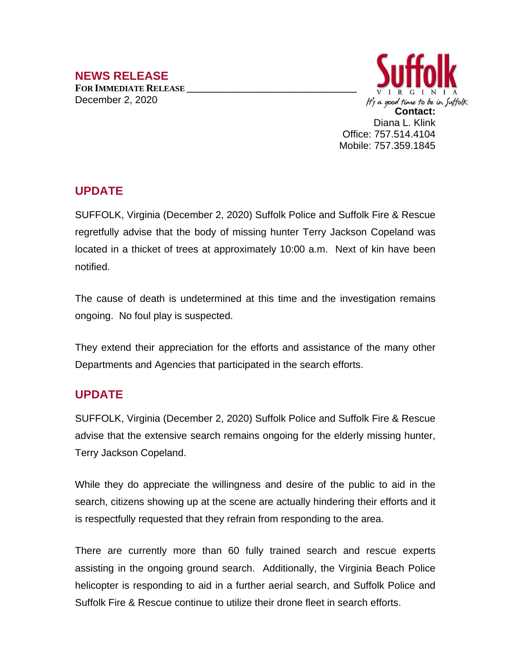## **NEWS RELEASE**

**FOR IMMEDIATE RELEASE \_\_\_\_\_\_\_\_\_\_\_\_\_\_\_\_\_\_\_\_\_\_\_\_\_\_\_\_\_\_\_\_\_\_** December 2, 2020



## **UPDATE**

SUFFOLK, Virginia (December 2, 2020) Suffolk Police and Suffolk Fire & Rescue regretfully advise that the body of missing hunter Terry Jackson Copeland was located in a thicket of trees at approximately 10:00 a.m. Next of kin have been notified.

The cause of death is undetermined at this time and the investigation remains ongoing. No foul play is suspected.

They extend their appreciation for the efforts and assistance of the many other Departments and Agencies that participated in the search efforts.

## **UPDATE**

SUFFOLK, Virginia (December 2, 2020) Suffolk Police and Suffolk Fire & Rescue advise that the extensive search remains ongoing for the elderly missing hunter, Terry Jackson Copeland.

While they do appreciate the willingness and desire of the public to aid in the search, citizens showing up at the scene are actually hindering their efforts and it is respectfully requested that they refrain from responding to the area.

There are currently more than 60 fully trained search and rescue experts assisting in the ongoing ground search. Additionally, the Virginia Beach Police helicopter is responding to aid in a further aerial search, and Suffolk Police and Suffolk Fire & Rescue continue to utilize their drone fleet in search efforts.